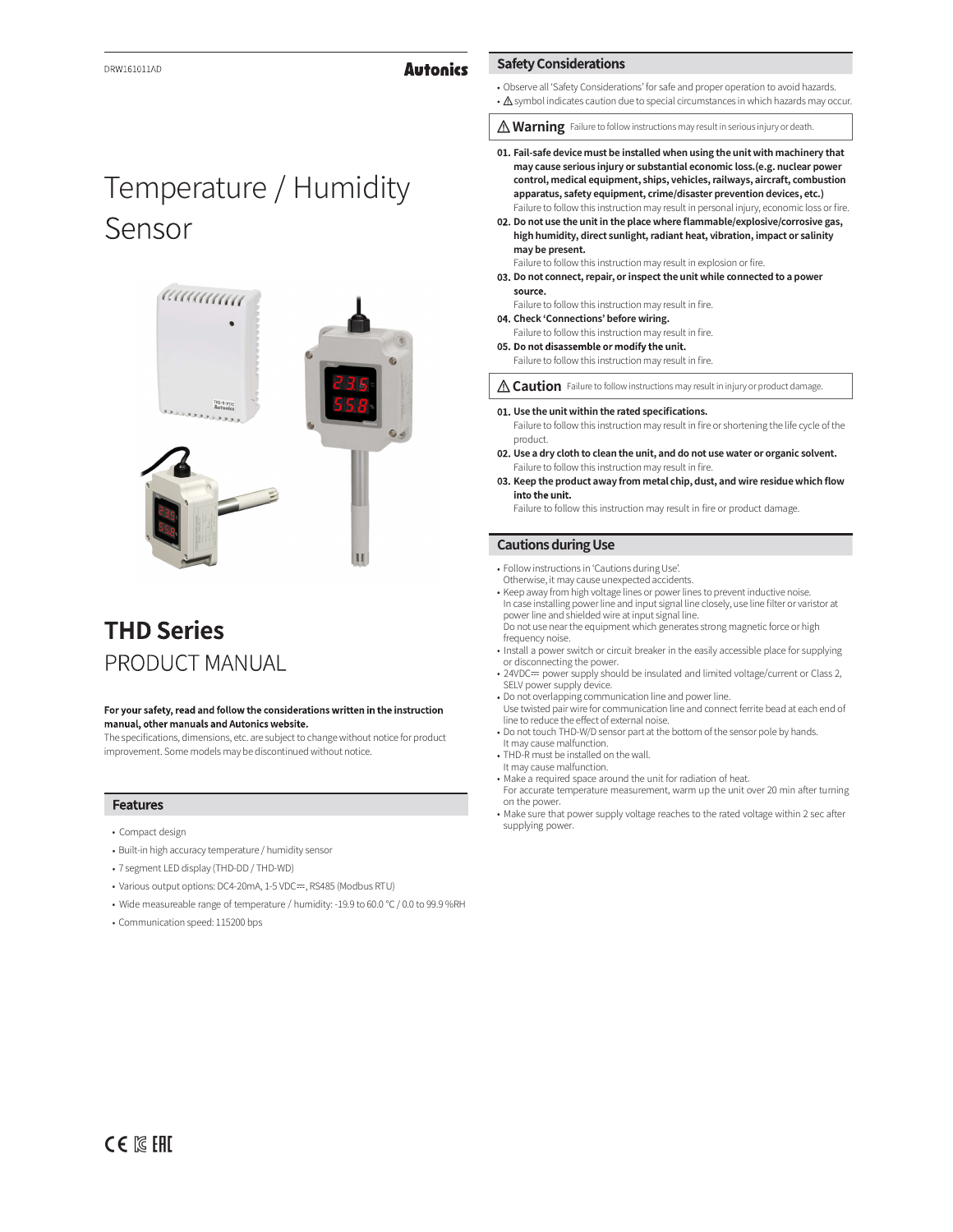# **Autonics**

### Observe all 'Safety Considerations' for safe and proper operation to avoid hazards.

•  $\triangle$  symbol indicates caution due to special circumstances in which hazards may occur.

**Marning** Failure to follow instructions may result in serious injury or death.

- 01. Fail-safe device must be installed when using the unit with machinery that may cause serious injury or substantial economic loss.(e.g. nuclear power control, medical equipment, ships, vehicles, railways, aircraft, combustion apparatus, safety equipment, crime/disaster prevention devices, etc.) Failure to follow this instruction may result in personal injury, economic loss or fire.
- 02. Do not use the unit in the place where flammable/explosive/corrosive gas, high humidity, direct sunlight, radiant heat, vibration, impact or salinity may be present.

Failure to follow this instruction may result in explosion or fire.

- 03. Do not connect, repair, or inspect the unit while connected to a power source.
- Failure to follow this instruction may result in fire.
- 04. Check 'Connections' before wiring. Failure to follow this instruction may result in fire.

**Safety Considerations** 

05. Do not disassemble or modify the unit.

Failure to follow this instruction may result in fire.

**A Caution** Failure to follow instructions may result in injury or product damage

- 01. Use the unit within the rated specifications. Failure to follow this instruction may result in fire or shortening the life cycle of the product.
- 02. Use a dry cloth to clean the unit, and do not use water or organic solvent. Failure to follow this instruction may result in fire.
- 03. Keep the product away from metal chip, dust, and wire residue which flow into the unit.

Failure to follow this instruction may result in fire or product damage.

### **Cautions during Use**

- Follow instructions in 'Cautions during Use'.
- Otherwise, it may cause unexpected accidents. Keep away from high voltage linesor power lines toprevent inductive noise.
- In case installing power line and input signal line closely, use line filter or varistor at power line and shielded wire at input signal line. Do not use near the equipment which generates strong magnetic force or high
- frequency noise.<br>• Install a power switch or circuit breaker in the easily accessible place for supplying
- or disconnecting the power.<br>• 24VDC≕ power supply should be insulated and limited voltage/current or Class 2, SELV power supply device.
- Do not overlapping communication line and power line. Use twisted pair wire for communication line and connect ferrite bead at each end of line to reduce the effect of external noise.
- Do not touch THD-W/D sensor part at the bottom of the sensor pole by hands. It may cause malfunction.
- THD-R must be installed on the wall.
- It may cause malfunction.
- Make a required space around the unit for radiation of heat. For accurate temperature measurement, warm up the unit over 20 min after turning on the nower.
- on the power.<br>• Make sure that power supply voltage reaches to the rated voltage within 2 sec after supplying power.

# Temperature / Humidity Sensor



# **THD Series** PRODUCT MANUAL

### For your safety, read and follow the considerations written in the instruction manual, other manuals and Autonics website.

The specifications, dimensions, etc. are subject to change without notice for product improvement. Some models may be discontinued without notice.

### **Features**

- Compact design
- Built-in high accuracy temperature / humidity sensor
- 7 segment LED display (THD-DD / THD-WD)
- Various output options: DC4-20mA, 1-5 VDC=, RS485 (Modbus RTU)
- Wide measureable range of temperature / humidity: -19.9 to 60.0 ℃ / 0.0 to 99.9 %RH
- Communication speed: 115200 bps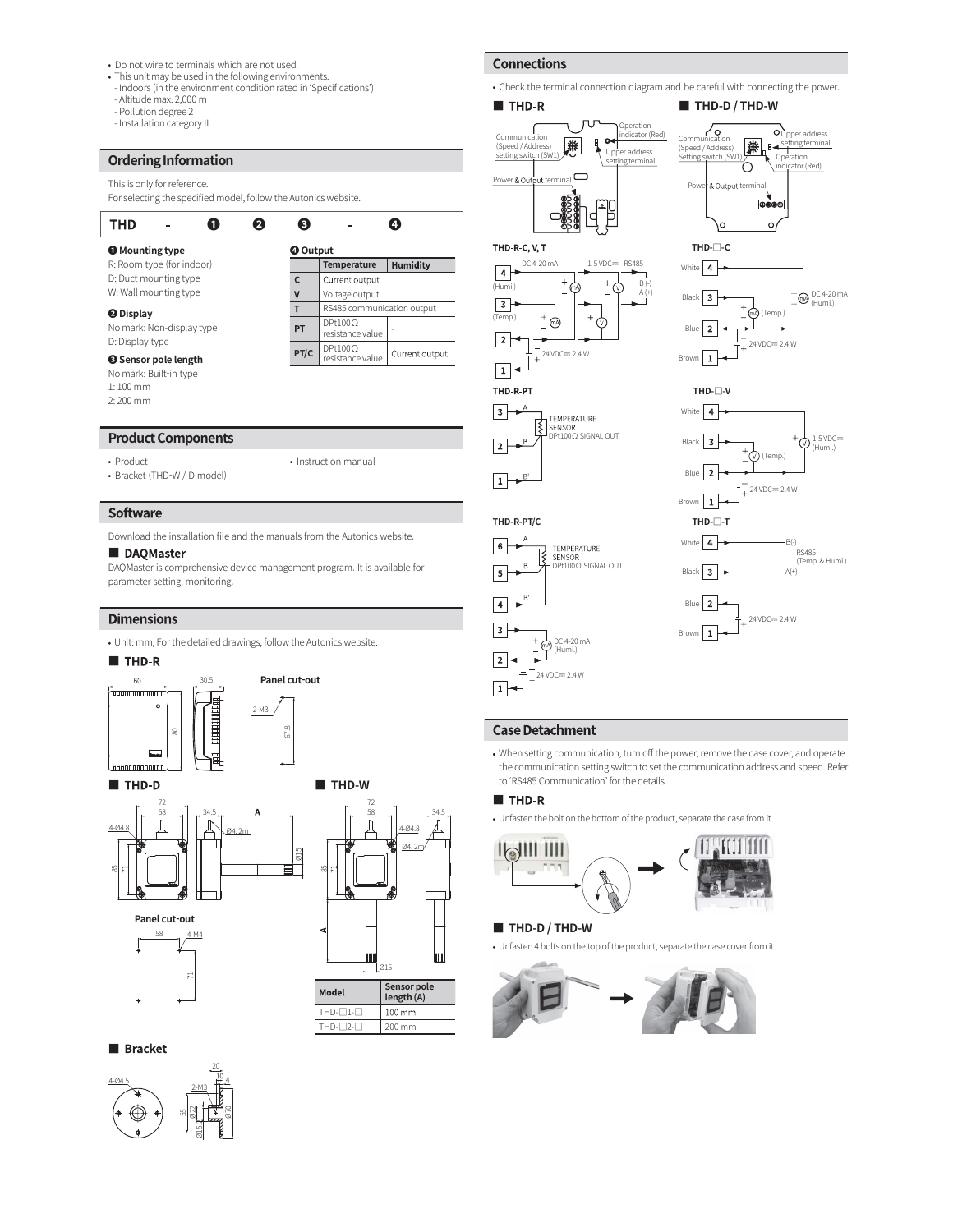- 
- Do not wire to terminals which are not used.<br>• This unit may be used in the following environments.<br>• Indoors (in the environment condition rated in 'Specifications')<br>• Altitude max. 2,000 m<br>• Installation category II<br>**O**
- 
- Pollution degree 2
- Installation category II

# Ordering Information

| . This unit may be used in the following environments.                                                                                              |                 |                             |          |                                                                                                                           |
|-----------------------------------------------------------------------------------------------------------------------------------------------------|-----------------|-----------------------------|----------|---------------------------------------------------------------------------------------------------------------------------|
| - Indoors (in the environment condition rated in 'Specifications')<br>- Altitude max. 2,000 m<br>- Pollution degree 2<br>- Installation category II |                 |                             |          | • Check the terminal connection di-<br>THD-R<br>Opera<br>indica<br>Communication<br>$\sim$<br>Ą<br>兼<br>(Speed / Address) |
| <b>Ordering Information</b>                                                                                                                         |                 |                             |          | Upper ad<br>setting switch (SW1<br>setting ter                                                                            |
| This is only for reference.<br>For selecting the specified model, follow the Autonics website.                                                      |                 |                             |          | Power & Output terminal<br>٦ſ                                                                                             |
| <b>THD</b>                                                                                                                                          | 8<br>А          |                             |          |                                                                                                                           |
| <b>O</b> Mounting type                                                                                                                              | <b>O</b> Output |                             |          | THD R C, V, T                                                                                                             |
| R: Room type (for indoor)                                                                                                                           |                 | <b>Temperature</b>          | Humidity | DC 4-20 mA<br>$1-5$ VDC= RS48                                                                                             |
| D: Duct mounting type                                                                                                                               | с               | Current output              |          | 4<br>(Humi.)                                                                                                              |
| W: Wall mounting type                                                                                                                               | v               | Voltage output              |          |                                                                                                                           |
| <b>O</b> Display                                                                                                                                    | т               | RS485 communication output  |          | 3                                                                                                                         |
| No mark: Non-display type                                                                                                                           | PT              | DPt1000<br>resistance value |          | (Temp.)<br>(mA                                                                                                            |
| D: Display type                                                                                                                                     |                 | $D + 1000$                  |          |                                                                                                                           |

❸ Sensor pole length

# **Product Components**

No mark: Built-in type 1: 100 mm 2: 200 mm

### • Product

• Product • Instruction manual<br>• Bracket (THD-W / D model)

### Software

Download the installation file and the manuals from the Autonics website.<br> **DAQMaster**<br> **DAQMaster** 

# ■ DAQMaster

DAQMaster is comprehensive device management program. It is available for parameter setting, monitoring.

Panel cut-out

# **Dimensions**

Unit: mm, Forthe detailed drawings, follow the Autonics website.



2-M3  $/$  |  $\qquad$ 



Panel cut-out









• Check the terminal connection diagram and be careful with connecting the power.









(Speed / Address) **[347] E** 

Upper address setting terminal







DC 4-20 mA (Humi.)  $24$  VDC $= 2.4$  W

• When setting communication, turn off the power, remove the case cover, and operate the communication setting switch to set the communication address and speed. Refer to 'RS485 Communication' forthe details.

### ■ THD-R

THD-R-PT/C